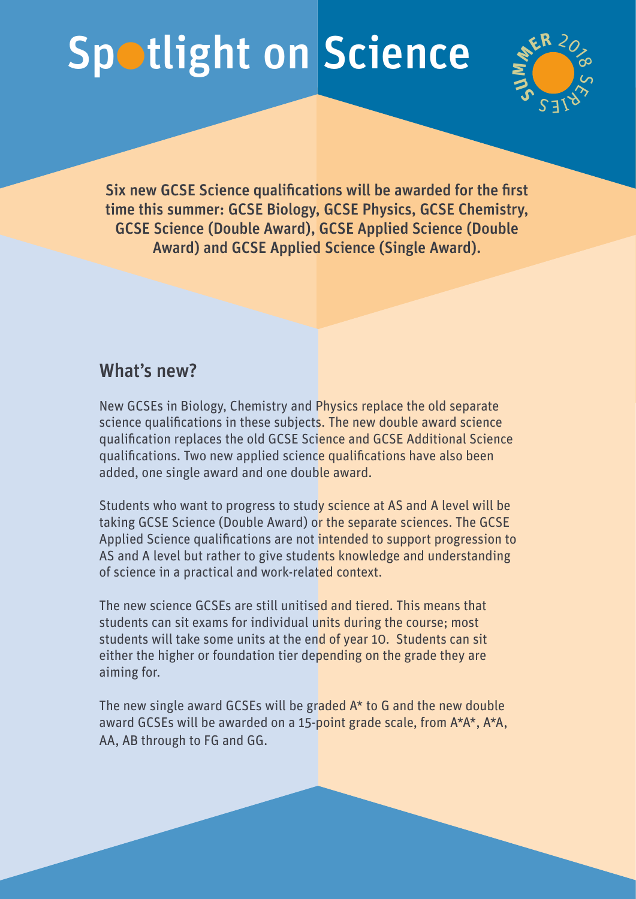## Spotlight on Science



Six new GCSE Science qualifications will be awarded for the first time this summer: GCSE Biology, GCSE Physics, GCSE Chemistry, GCSE Science (Double Award), GCSE Applied Science (Double Award) and GCSE Applied Science (Single Award).

## What's new?

New GCSEs in Biology, Chemistry and Physics replace the old separate science qualifications in these subjects. The new double award science qualification replaces the old GCSE Science and GCSE Additional Science qualifications. Two new applied science qualifications have also been added, one single award and one double award.

Students who want to progress to study science at AS and A level will be taking GCSE Science (Double Award) or the separate sciences. The GCSE Applied Science qualifications are not intended to support progression to AS and A level but rather to give students knowledge and understanding of science in a practical and work-related context.

The new science GCSEs are still unitised and tiered. This means that students can sit exams for individual units during the course; most students will take some units at the end of year 10. Students can sit either the higher or foundation tier depending on the grade they are aiming for.

The new single award GCSEs will be graded A\* to G and the new double award GCSEs will be awarded on a 15-point grade scale, from A\*A\*, A\*A, AA, AB through to FG and GG.